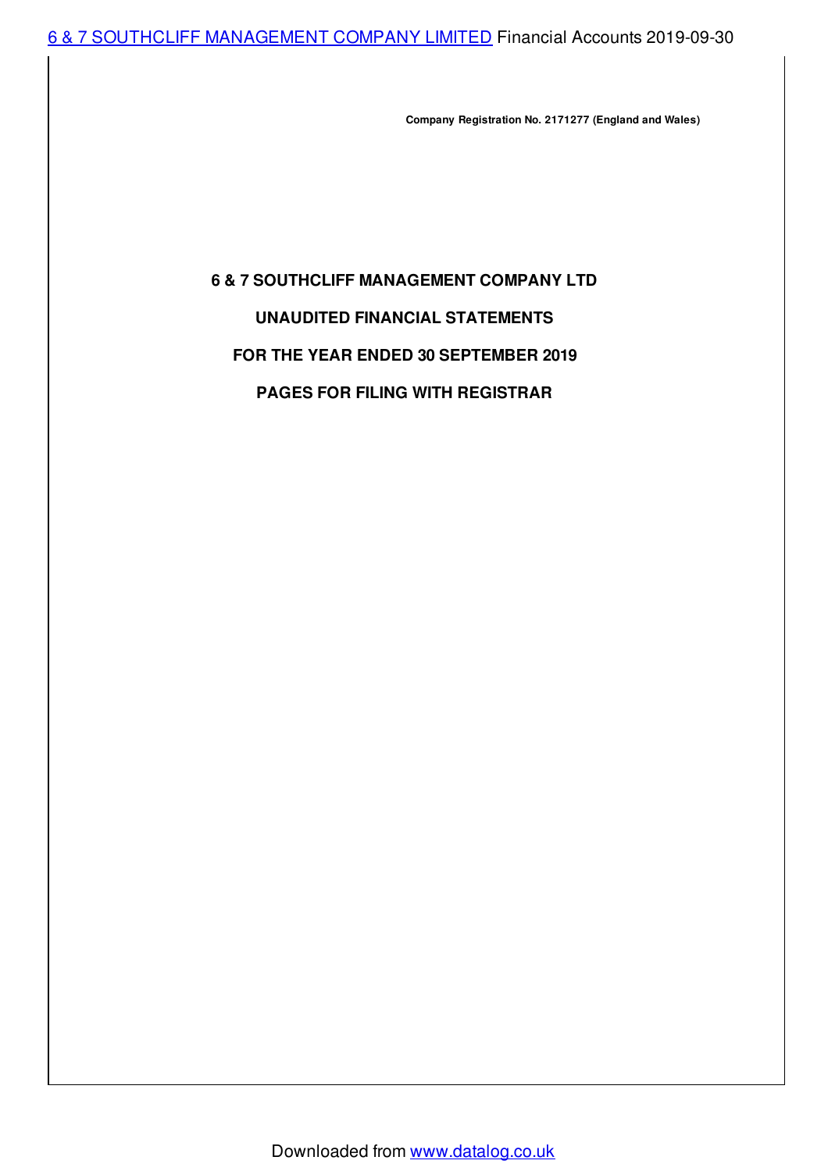6 & 7 SOUTHCLIFF [MANAGEMENT](http://www.datalog.co.uk/browse/detail.php/CompanyNumber/02171277/CompanyName/6+%26+7+SOUTHCLIFF+MANAGEMENT+COMPANY+LIMITED) COMPANY LIMITED Financial Accounts 2019-09-30

**Company Registration No. 2171277 (England and Wales)**

# **6 & 7 SOUTHCLIFF MANAGEMENT COMPANY LTD**

# **UNAUDITED FINANCIAL STATEMENTS**

## **FOR THE YEAR ENDED 30 SEPTEMBER 2019**

## **PAGES FOR FILING WITH REGISTRAR**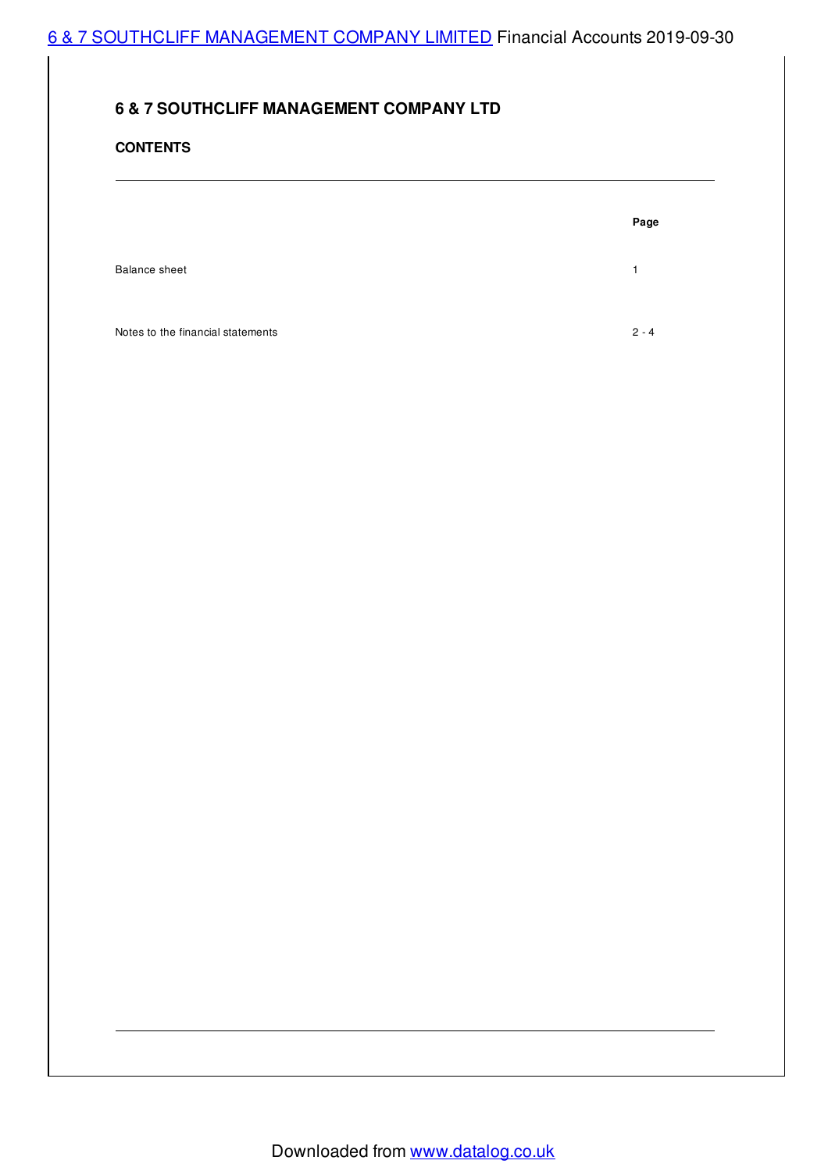# 6 & 7 SOUTHCLIFF [MANAGEMENT](http://www.datalog.co.uk/browse/detail.php/CompanyNumber/02171277/CompanyName/6+%26+7+SOUTHCLIFF+MANAGEMENT+COMPANY+LIMITED) COMPANY LIMITED Financial Accounts 2019-09-30

# **6 & 7 SOUTHCLIFF MANAGEMENT COMPANY LTD**

### **CONTENTS**

Balance sheet 1 and 1 and 1 and 1 and 1 and 1 and 1 and 1 and 1 and 1 and 1 and 1 and 1 and 1 and 1 and 1 and 1 and 1 and 1 and 1 and 1 and 1 and 1 and 1 and 1 and 1 and 1 and 1 and 1 and 1 and 1 and 1 and 1 and 1 and 1 an

Notes to the financial statements 2 - 4

**Page**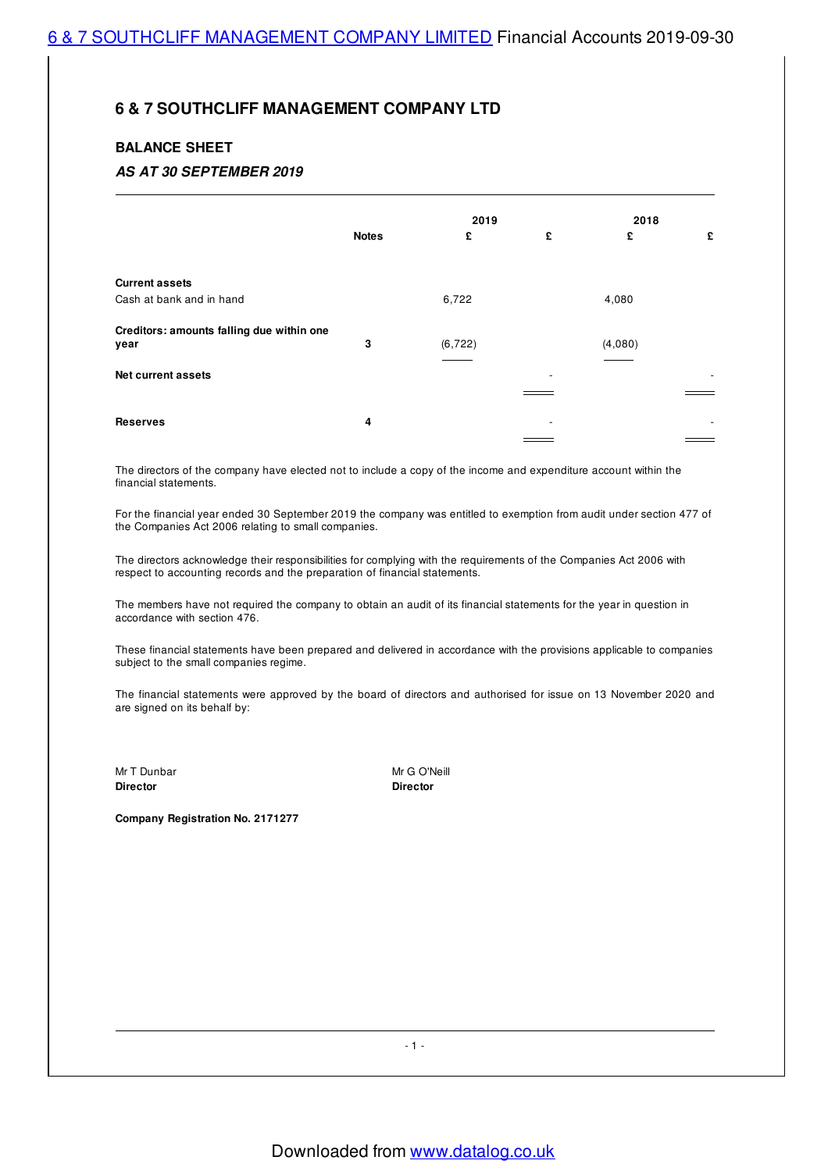### **BALANCE SHEET**

### *AS AT 30 SEPTEMBER 2019*

|                                           |              | 2019     |   | 2018    |   |
|-------------------------------------------|--------------|----------|---|---------|---|
|                                           | <b>Notes</b> | £        | £ | £       | £ |
|                                           |              |          |   |         |   |
| <b>Current assets</b>                     |              |          |   |         |   |
| Cash at bank and in hand                  |              | 6,722    |   | 4,080   |   |
| Creditors: amounts falling due within one |              |          |   |         |   |
| year                                      | 3            | (6, 722) |   | (4,080) |   |
| <b>Net current assets</b>                 |              |          |   |         |   |
|                                           |              |          |   |         |   |
| <b>Reserves</b>                           | 4            |          | - |         |   |
|                                           |              |          |   |         |   |

The directors of the company have elected not to include a copy of the income and expenditure account within the financial statements.

For the financial year ended 30 September 2019 the company was entitled to exemption from audit under section 477 of the Companies Act 2006 relating to small companies.

The directors acknowledge their responsibilities for complying with the requirements of the Companies Act 2006 with respect to accounting records and the preparation of financial statements.

The members have not required the company to obtain an audit of its financial statements for the year in question in accordance with section 476.

These financial statements have been prepared and delivered in accordance with the provisions applicable to companies subject to the small companies regime.

The financial statements were approved by the board of directors and authorised for issue on 13 November 2020 and are signed on its behalf by:

**Director Director**

Mr T Dunbar Mr G O'Neill

**Company Registration No. 2171277**

- 1 -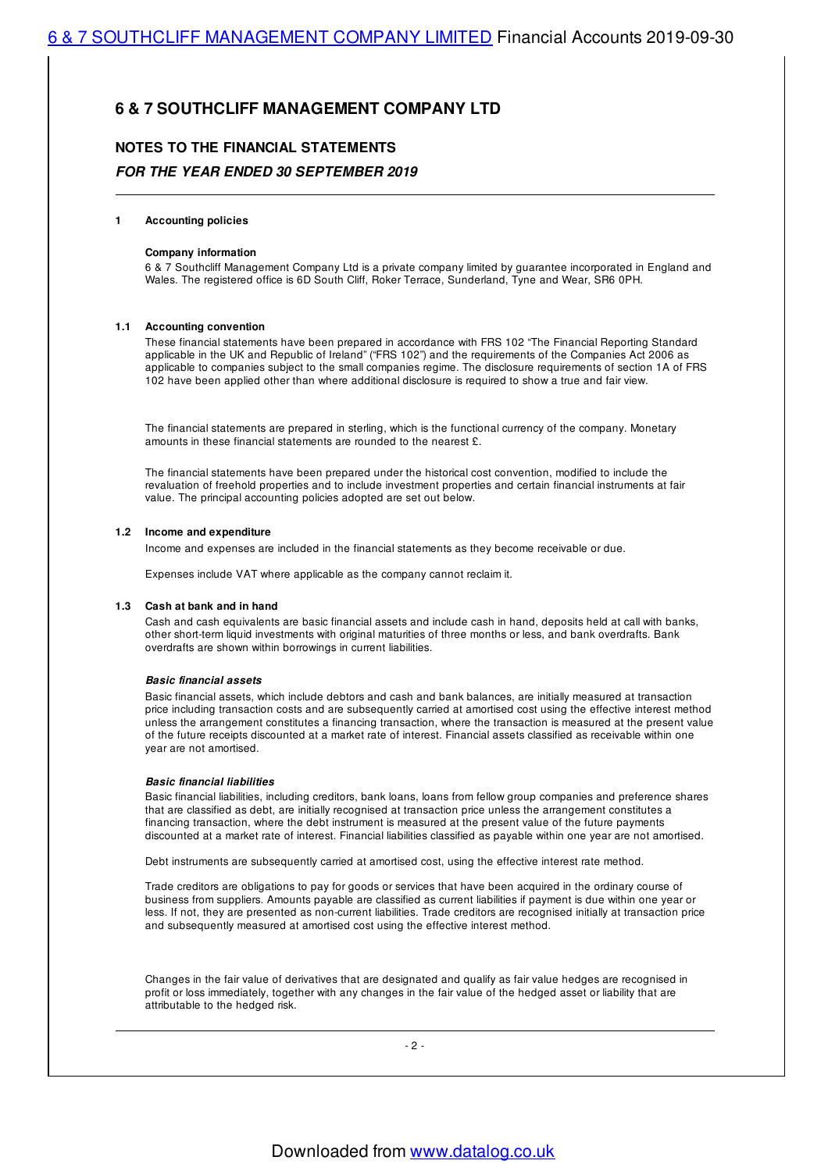# **NOTES TO THE FINANCIAL STATEMENTS** *FOR THE YEAR ENDED 30 SEPTEMBER 2019*

#### **1 Accounting policies**

#### **Company information**

6 & 7 Southcliff Management Company Ltd is a private company limited by guarantee incorporated in England and Wales. The registered office is 6D South Cliff, Roker Terrace, Sunderland, Tyne and Wear, SR6 0PH.

#### **1.1 Accounting convention**

These financial statements have been prepared in accordance with FRS 102 "The Financial Reporting Standard applicable in the UK and Republic of Ireland" ("FRS 102") and the requirements of the Companies Act 2006 as applicable to companies subject to the small companies regime. The disclosure requirements of section 1A of FRS 102 have been applied other than where additional disclosure is required to show a true and fair view.

The financial statements are prepared in sterling, which is the functional currency of the company. Monetary amounts in these financial statements are rounded to the nearest £.

The financial statements have been prepared under the historical cost convention, modified to include the revaluation of freehold properties and to include investment properties and certain financial instruments at fair value. The principal accounting policies adopted are set out below.

#### **1.2 Income and expenditure**

Income and expenses are included in the financial statements as they become receivable or due.

Expenses include VAT where applicable as the company cannot reclaim it.

#### **1.3 Cash at bank and in hand**

Cash and cash equivalents are basic financial assets and include cash in hand, deposits held at call with banks, other short-term liquid investments with original maturities of three months or less, and bank overdrafts. Bank overdrafts are shown within borrowings in current liabilities.

#### *Basic financial assets*

Basic financial assets, which include debtors and cash and bank balances, are initially measured at transaction price including transaction costs and are subsequently carried at amortised cost using the effective interest method unless the arrangement constitutes a financing transaction, where the transaction is measured at the present value of the future receipts discounted at a market rate of interest. Financial assets classified as receivable within one year are not amortised.

#### *Basic financial liabilities*

Basic financial liabilities, including creditors, bank loans, loans from fellow group companies and preference shares that are classified as debt, are initially recognised at transaction price unless the arrangement constitutes a financing transaction, where the debt instrument is measured at the present value of the future payments discounted at a market rate of interest. Financial liabilities classified as payable within one year are not amortised.

Debt instruments are subsequently carried at amortised cost, using the effective interest rate method.

Trade creditors are obligations to pay for goods or services that have been acquired in the ordinary course of business from suppliers. Amounts payable are classified as current liabilities if payment is due within one year or less. If not, they are presented as non-current liabilities. Trade creditors are recognised initially at transaction price and subsequently measured at amortised cost using the effective interest method.

Changes in the fair value of derivatives that are designated and qualify as fair value hedges are recognised in profit or loss immediately, together with any changes in the fair value of the hedged asset or liability that are attributable to the hedged risk.

 $-2 -$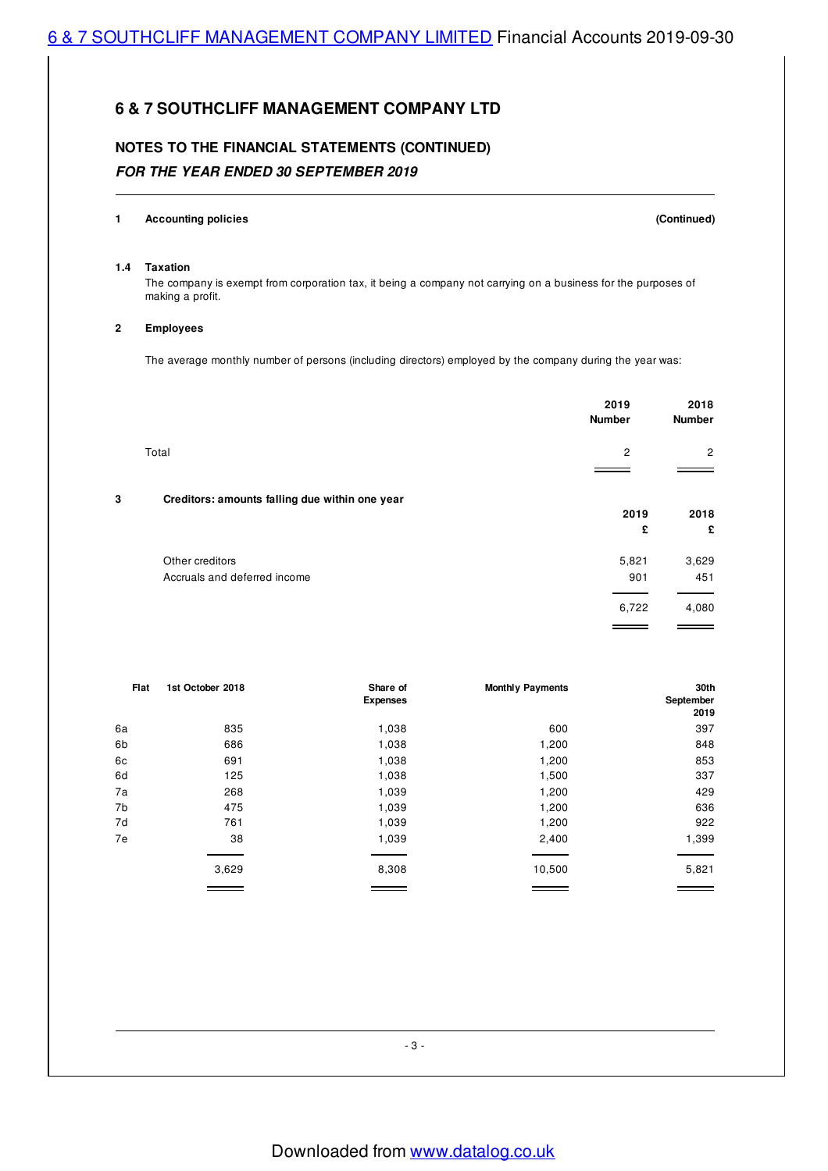# **NOTES TO THE FINANCIAL STATEMENTS (CONTINUED)** *FOR THE YEAR ENDED 30 SEPTEMBER 2019*

#### **1 Accounting policies (Continued)**

#### **1.4 Taxation**

The company is exempt from corporation tax, it being a company not carrying on a business for the purposes of making a profit.

#### **2 Employees**

The average monthly number of persons (including directors) employed by the company during the year was:

|   |                                                | 2019<br><b>Number</b> | 2018<br><b>Number</b> |
|---|------------------------------------------------|-----------------------|-----------------------|
|   | Total                                          | $\overline{2}$        | $\overline{2}$        |
|   |                                                |                       |                       |
| 3 | Creditors: amounts falling due within one year |                       |                       |
|   |                                                | 2019                  | 2018                  |
|   |                                                | £                     | £                     |
|   | Other creditors                                | 5,821                 | 3,629                 |
|   | Accruals and deferred income                   | 901                   | 451                   |
|   |                                                | 6,722                 | 4,080                 |
|   |                                                |                       |                       |

| Flat | 1st October 2018 | Share of<br><b>Expenses</b> | <b>Monthly Payments</b> | 30th<br>September<br>2019 |
|------|------------------|-----------------------------|-------------------------|---------------------------|
| 6a   | 835              | 1,038                       | 600                     | 397                       |
| 6b   | 686              | 1,038                       | 1,200                   | 848                       |
| 6c   | 691              | 1,038                       | 1,200                   | 853                       |
| 6d   | 125              | 1,038                       | 1,500                   | 337                       |
| 7a   | 268              | 1,039                       | 1,200                   | 429                       |
| 7b   | 475              | 1,039                       | 1,200                   | 636                       |
| 7d   | 761              | 1,039                       | 1,200                   | 922                       |
| 7e   | 38               | 1,039                       | 2,400                   | 1,399                     |
|      |                  |                             |                         |                           |
|      | 3,629            | 8,308                       | 10,500                  | 5,821                     |